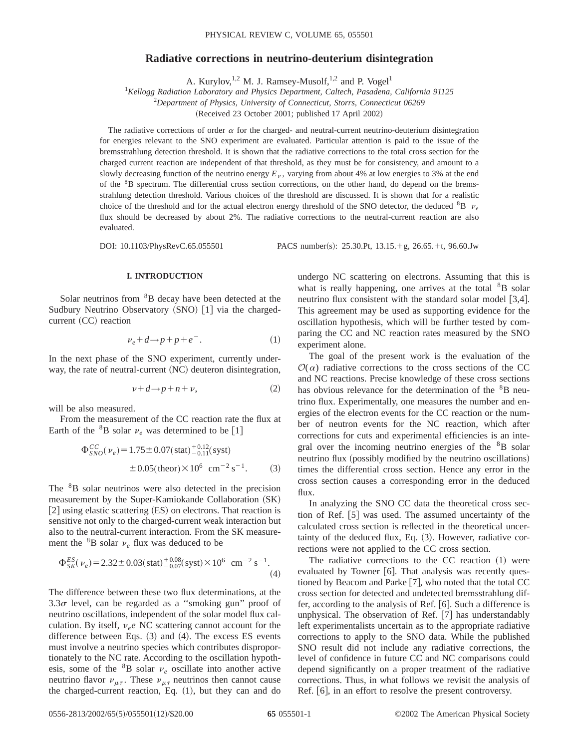# **Radiative corrections in neutrino-deuterium disintegration**

A. Kurylov,<sup>1,2</sup> M. J. Ramsey-Musolf,<sup>1,2</sup> and P. Vogel<sup>1</sup>

1 *Kellogg Radiation Laboratory and Physics Department, Caltech, Pasadena, California 91125*

2 *Department of Physics, University of Connecticut, Storrs, Connecticut 06269*

(Received 23 October 2001; published 17 April 2002)

The radiative corrections of order  $\alpha$  for the charged- and neutral-current neutrino-deuterium disintegration for energies relevant to the SNO experiment are evaluated. Particular attention is paid to the issue of the bremsstrahlung detection threshold. It is shown that the radiative corrections to the total cross section for the charged current reaction are independent of that threshold, as they must be for consistency, and amount to a slowly decreasing function of the neutrino energy  $E<sub>v</sub>$ , varying from about 4% at low energies to 3% at the end of the <sup>8</sup>B spectrum. The differential cross section corrections, on the other hand, do depend on the bremsstrahlung detection threshold. Various choices of the threshold are discussed. It is shown that for a realistic choice of the threshold and for the actual electron energy threshold of the SNO detector, the deduced  ${}^{8}B$   $v_e$ flux should be decreased by about 2%. The radiative corrections to the neutral-current reaction are also evaluated.

DOI: 10.1103/PhysRevC.65.055501 PACS number(s): 25.30.Pt, 13.15.+g, 26.65.+t, 96.60.Jw

## **I. INTRODUCTION**

Solar neutrinos from <sup>8</sup>B decay have been detected at the Sudbury Neutrino Observatory  $(SNO)$   $[1]$  via the charged $current (CC) reaction$ 

$$
\nu_e + d \rightarrow p + p + e^-.
$$
 (1)

In the next phase of the SNO experiment, currently underway, the rate of neutral-current (NC) deuteron disintegration,

$$
\nu + d \rightarrow p + n + \nu, \tag{2}
$$

will be also measured.

From the measurement of the CC reaction rate the flux at Earth of the <sup>8</sup>B solar  $\nu_e$  was determined to be [1]

$$
\Phi_{SNO}^{CC}(\nu_e) = 1.75 \pm 0.07 \text{(stat)} \, \frac{^{+0.12}_{-0.11} \text{(syst)}}{\pm 0.05 \text{(theor)} \times 10^6 \, \text{cm}^{-2} \, \text{s}^{-1}}.
$$
 (3)

The <sup>8</sup>B solar neutrinos were also detected in the precision measurement by the Super-Kamiokande Collaboration (SK)  $[2]$  using elastic scattering  $(ES)$  on electrons. That reaction is sensitive not only to the charged-current weak interaction but also to the neutral-current interaction. From the SK measurement the  ${}^{8}B$  solar  $\nu_e$  flux was deduced to be

$$
\Phi_{SK}^{ES}(\nu_e) = 2.32 \pm 0.03 \text{(stat)} \, \frac{^{+0.08}}{^{-0.07}} \text{(syst)} \times 10^6 \, \text{ cm}^{-2} \, \text{s}^{-1}.
$$
\n(4)

The difference between these two flux determinations, at the  $3.3\sigma$  level, can be regarded as a "smoking gun" proof of neutrino oscillations, independent of the solar model flux calculation. By itself,  $v_e$ e NC scattering cannot account for the difference between Eqs.  $(3)$  and  $(4)$ . The excess ES events must involve a neutrino species which contributes disproportionately to the NC rate. According to the oscillation hypothesis, some of the  ${}^{8}B$  solar  $\nu_e$  oscillate into another active neutrino flavor  $\nu_{\mu\tau}$ . These  $\nu_{\mu\tau}$  neutrinos then cannot cause the charged-current reaction, Eq.  $(1)$ , but they can and do undergo NC scattering on electrons. Assuming that this is what is really happening, one arrives at the total  ${}^{8}B$  solar neutrino flux consistent with the standard solar model  $[3,4]$ . This agreement may be used as supporting evidence for the oscillation hypothesis, which will be further tested by comparing the CC and NC reaction rates measured by the SNO experiment alone.

The goal of the present work is the evaluation of the  $\mathcal{O}(\alpha)$  radiative corrections to the cross sections of the CC and NC reactions. Precise knowledge of these cross sections has obvious relevance for the determination of the <sup>8</sup>B neutrino flux. Experimentally, one measures the number and energies of the electron events for the CC reaction or the number of neutron events for the NC reaction, which after corrections for cuts and experimental efficiencies is an integral over the incoming neutrino energies of the <sup>8</sup>B solar neutrino flux (possibly modified by the neutrino oscillations) times the differential cross section. Hence any error in the cross section causes a corresponding error in the deduced flux.

In analyzing the SNO CC data the theoretical cross section of Ref.  $[5]$  was used. The assumed uncertainty of the calculated cross section is reflected in the theoretical uncertainty of the deduced flux, Eq.  $(3)$ . However, radiative corrections were not applied to the CC cross section.

The radiative corrections to the CC reaction  $(1)$  were evaluated by Towner  $[6]$ . That analysis was recently questioned by Beacom and Parke  $[7]$ , who noted that the total CC cross section for detected and undetected bremsstrahlung differ, according to the analysis of Ref.  $[6]$ . Such a difference is unphysical. The observation of Ref.  $[7]$  has understandably left experimentalists uncertain as to the appropriate radiative corrections to apply to the SNO data. While the published SNO result did not include any radiative corrections, the level of confidence in future CC and NC comparisons could depend significantly on a proper treatment of the radiative corrections. Thus, in what follows we revisit the analysis of Ref.  $[6]$ , in an effort to resolve the present controversy.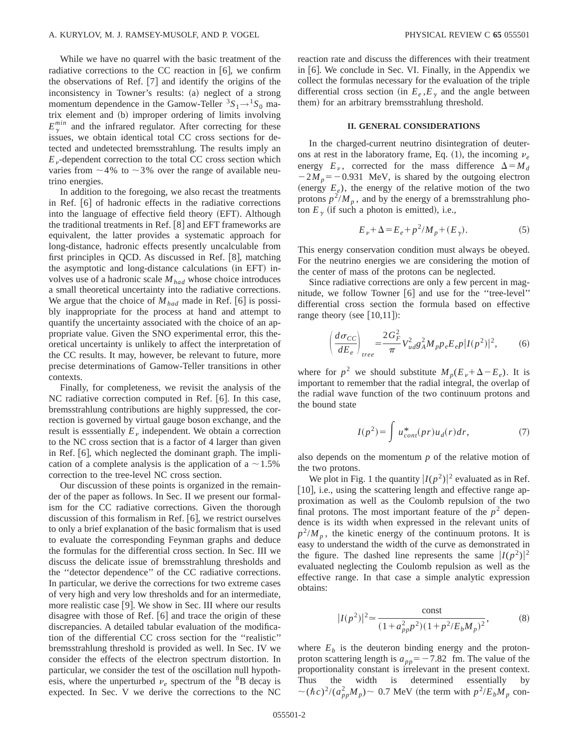While we have no quarrel with the basic treatment of the radiative corrections to the CC reaction in  $[6]$ , we confirm the observations of Ref.  $[7]$  and identify the origins of the inconsistency in Towner's results: (a) neglect of a strong momentum dependence in the Gamow-Teller  ${}^{3}S_{1} \rightarrow {}^{1}S_{0}$  matrix element and (b) improper ordering of limits involving  $E_{\gamma}^{min}$  and the infrared regulator. After correcting for these issues, we obtain identical total CC cross sections for detected and undetected bremsstrahlung. The results imply an  $E<sub>v</sub>$ -dependent correction to the total CC cross section which varies from  $\sim$  4% to  $\sim$  3% over the range of available neutrino energies.

In addition to the foregoing, we also recast the treatments in Ref.  $[6]$  of hadronic effects in the radiative corrections into the language of effective field theory (EFT). Although the traditional treatments in Ref.  $[8]$  and EFT frameworks are equivalent, the latter provides a systematic approach for long-distance, hadronic effects presently uncalculable from first principles in QCD. As discussed in Ref.  $[8]$ , matching the asymptotic and long-distance calculations (in EFT) involves use of a hadronic scale  $M_{had}$  whose choice introduces a small theoretical uncertainty into the radiative corrections. We argue that the choice of  $M_{had}$  made in Ref. [6] is possibly inappropriate for the process at hand and attempt to quantify the uncertainty associated with the choice of an appropriate value. Given the SNO experimental error, this theoretical uncertainty is unlikely to affect the interpretation of the CC results. It may, however, be relevant to future, more precise determinations of Gamow-Teller transitions in other contexts.

Finally, for completeness, we revisit the analysis of the NC radiative correction computed in Ref.  $[6]$ . In this case, bremsstrahlung contributions are highly suppressed, the correction is governed by virtual gauge boson exchange, and the result is esssentially  $E<sub>v</sub>$  independent. We obtain a correction to the NC cross section that is a factor of 4 larger than given in Ref.  $[6]$ , which neglected the dominant graph. The implication of a complete analysis is the application of a  $\sim$  1.5% correction to the tree-level NC cross section.

Our discussion of these points is organized in the remainder of the paper as follows. In Sec. II we present our formalism for the CC radiative corrections. Given the thorough discussion of this formalism in Ref.  $[6]$ , we restrict ourselves to only a brief explanation of the basic formalism that is used to evaluate the corresponding Feynman graphs and deduce the formulas for the differential cross section. In Sec. III we discuss the delicate issue of bremsstrahlung thresholds and the ''detector dependence'' of the CC radiative corrections. In particular, we derive the corrections for two extreme cases of very high and very low thresholds and for an intermediate, more realistic case  $[9]$ . We show in Sec. III where our results disagree with those of Ref.  $\lceil 6 \rceil$  and trace the origin of these discrepancies. A detailed tabular evaluation of the modification of the differential CC cross section for the ''realistic'' bremsstrahlung threshold is provided as well. In Sec. IV we consider the effects of the electron spectrum distortion. In particular, we consider the test of the oscillation null hypothesis, where the unperturbed  $v_e$  spectrum of the <sup>8</sup>B decay is expected. In Sec. V we derive the corrections to the NC reaction rate and discuss the differences with their treatment in  $[6]$ . We conclude in Sec. VI. Finally, in the Appendix we collect the formulas necessary for the evaluation of the triple differential cross section (in  $E_e$ , $E_\gamma$  and the angle between them) for an arbitrary bremsstrahlung threshold.

### **II. GENERAL CONSIDERATIONS**

In the charged-current neutrino disintegration of deuterons at rest in the laboratory frame, Eq.  $(1)$ , the incoming  $\nu_e$ energy  $E_\nu$ , corrected for the mass difference  $\Delta = M_d$  $-2M_p = -0.931$  MeV, is shared by the outgoing electron (energy  $E_e$ ), the energy of the relative motion of the two protons  $p^2/M_p$ , and by the energy of a bremsstrahlung photon  $E_{\gamma}$  (if such a photon is emitted), i.e.,

$$
E_{\nu} + \Delta = E_e + p^2 / M_p + (E_{\gamma}).
$$
 (5)

This energy conservation condition must always be obeyed. For the neutrino energies we are considering the motion of the center of mass of the protons can be neglected.

Since radiative corrections are only a few percent in magnitude, we follow Towner  $\lceil 6 \rceil$  and use for the "tree-level" differential cross section the formula based on effective range theory (see  $[10,11]$ ):

$$
\left(\frac{d\sigma_{CC}}{dE_e}\right)_{tree} = \frac{2G_F^2}{\pi} V_{ud}^2 g_A^2 M_p p_e E_e p |I(p^2)|^2, \tag{6}
$$

where for  $p^2$  we should substitute  $M_p(E_p + \Delta - E_e)$ . It is important to remember that the radial integral, the overlap of the radial wave function of the two continuum protons and the bound state

$$
I(p^2) = \int u_{cont}^*(pr)u_d(r)dr,
$$
 (7)

also depends on the momentum *p* of the relative motion of the two protons.

We plot in Fig. 1 the quantity  $|I(p^2)|^2$  evaluated as in Ref. [10], i.e., using the scattering length and effective range approximation as well as the Coulomb repulsion of the two final protons. The most important feature of the  $p<sup>2</sup>$  dependence is its width when expressed in the relevant units of  $p^2/M_p$ , the kinetic energy of the continuum protons. It is easy to understand the width of the curve as demonstrated in the figure. The dashed line represents the same  $|I(p^2)|^2$ evaluated neglecting the Coulomb repulsion as well as the effective range. In that case a simple analytic expression obtains:

$$
|I(p^2)|^2 \approx \frac{\text{const}}{(1 + a_{pp}^2 p^2)(1 + p^2 / E_b M_p)^2},
$$
 (8)

where  $E_b$  is the deuteron binding energy and the protonproton scattering length is  $a_{pp} = -7.82$  fm. The value of the proportionality constant is irrelevant in the present context. Thus the width is determined essentially by  $\sim (\hbar c)^2/(a_{pp}^2 M_p) \sim 0.7$  MeV (the term with  $p^2/E_b M_p$  con-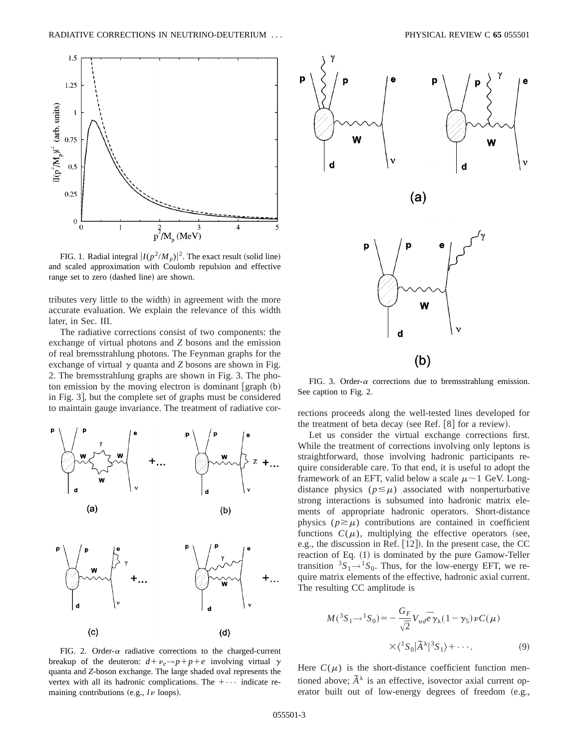

FIG. 1. Radial integral  $|I(p^2/M_p)|^2$ . The exact result (solid line) and scaled approximation with Coulomb repulsion and effective range set to zero (dashed line) are shown.

tributes very little to the width) in agreement with the more accurate evaluation. We explain the relevance of this width later, in Sec. III.

The radiative corrections consist of two components: the exchange of virtual photons and *Z* bosons and the emission of real bremsstrahlung photons. The Feynman graphs for the exchange of virtual  $\gamma$  quanta and *Z* bosons are shown in Fig. 2. The bremsstrahlung graphs are shown in Fig. 3. The photon emission by the moving electron is dominant  $\lceil \text{graph} (b) \rceil$ in Fig. 3, but the complete set of graphs must be considered to maintain gauge invariance. The treatment of radiative cor- rections proceeds along the well-tested lines developed for





FIG. 3. Order- $\alpha$  corrections due to bremsstrahlung emission. See caption to Fig. 2.

the treatment of beta decay (see Ref.  $[8]$  for a review).

Let us consider the virtual exchange corrections first. While the treatment of corrections involving only leptons is straightforward, those involving hadronic participants require considerable care. To that end, it is useful to adopt the framework of an EFT, valid below a scale  $\mu \sim 1$  GeV. Longdistance physics  $(p \leq \mu)$  associated with nonperturbative strong interactions is subsumed into hadronic matrix elements of appropriate hadronic operators. Short-distance physics  $(p \ge \mu)$  contributions are contained in coefficient functions  $C(\mu)$ , multiplying the effective operators (see, e.g., the discussion in Ref.  $[12]$ . In the present case, the CC reaction of Eq.  $(1)$  is dominated by the pure Gamow-Teller transition  ${}^{3}S_{1} \rightarrow {}^{1}S_{0}$ . Thus, for the low-energy EFT, we require matrix elements of the effective, hadronic axial current. The resulting CC amplitude is

$$
M({}^3S_1 \rightarrow {}^1S_0) = -\frac{G_F}{\sqrt{2}} V_{ud} \overline{e} \gamma_\lambda (1 - \gamma_5) \nu C(\mu)
$$
  
 
$$
\times \langle {}^1S_0 | \widetilde{A}^\lambda | {}^3S_1 \rangle + \cdots. \tag{9}
$$

FIG. 2. Order- $\alpha$  radiative corrections to the charged-current breakup of the deuteron:  $d + \nu_e \rightarrow p + p + e$  involving virtual  $\gamma$ quanta and *Z*-boson exchange. The large shaded oval represents the vertex with all its hadronic complications. The  $+\cdots$  indicate remaining contributions  $(e.g.,  $l\nu$  loops).$ 

Here  $C(\mu)$  is the short-distance coefficient function mentioned above;  $\tilde{A}^{\lambda}$  is an effective, isovector axial current operator built out of low-energy degrees of freedom (e.g.,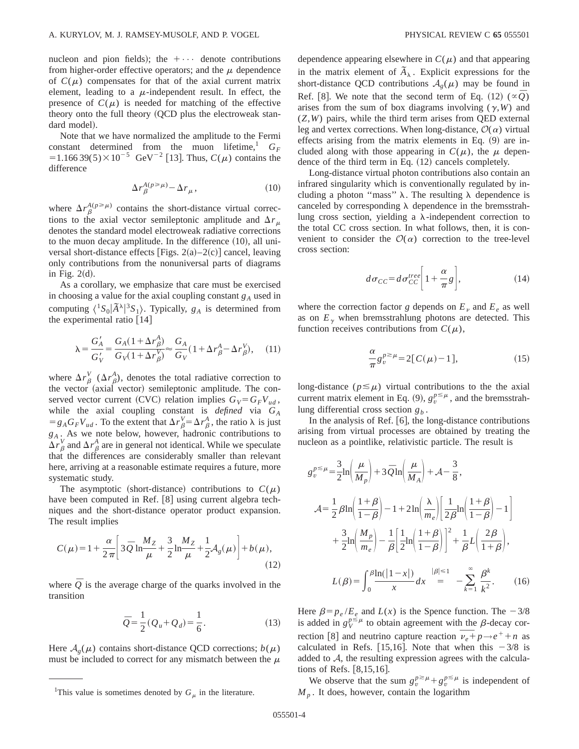nucleon and pion fields); the  $+\cdots$  denote contributions from higher-order effective operators; and the  $\mu$  dependence of  $C(\mu)$  compensates for that of the axial current matrix element, leading to a  $\mu$ -independent result. In effect, the presence of  $C(\mu)$  is needed for matching of the effective theory onto the full theory  $(QCD)$  plus the electroweak standard model).

Note that we have normalized the amplitude to the Fermi constant determined from the muon lifetime,<sup>1</sup>  $G_F$ =1.166 39(5) $\times$ 10<sup>-5</sup> GeV<sup>-2</sup> [13]. Thus, *C*( $\mu$ ) contains the difference

$$
\Delta r_{\beta}^{A(p \ge \mu)} - \Delta r_{\mu}, \qquad (10)
$$

where  $\Delta r_\beta^{A(p \ge \mu)}$  contains the short-distance virtual corrections to the axial vector semileptonic amplitude and  $\Delta r_{\mu}$ denotes the standard model electroweak radiative corrections to the muon decay amplitude. In the difference  $(10)$ , all universal short-distance effects [Figs.  $2(a) - 2(c)$ ] cancel, leaving only contributions from the nonuniversal parts of diagrams in Fig.  $2(d)$ .

As a corollary, we emphasize that care must be exercised in choosing a value for the axial coupling constant  $g_A$  used in computing  $\langle {}^1S_0|\tilde{A}^{\lambda}|^3S_1\rangle$ . Typically,  $g_A$  is determined from the experimental ratio  $[14]$ 

$$
\lambda = \frac{G_A'}{G_V'} = \frac{G_A(1 + \Delta r_\beta^A)}{G_V(1 + \Delta r_\beta^V)} \approx \frac{G_A}{G_V}(1 + \Delta r_\beta^A - \Delta r_\beta^V), \quad (11)
$$

where  $\Delta r^V_\beta$  ( $\Delta r^A_\beta$ ), denotes the total radiative correction to the vector (axial vector) semileptonic amplitude. The conserved vector current (CVC) relation implies  $G_V = G_F V_{ud}$ , while the axial coupling constant is *defined* via *GA*  $= g_A G_F V_{ud}$ . To the extent that  $\Delta r_\beta^V = \Delta r_\beta^A$ , the ratio  $\lambda$  is just *gA* . As we note below, however, hadronic contributions to  $\Delta r^V_\beta$  and  $\Delta r^A_\beta$  are in general not identical. While we speculate that the differences are considerably smaller than relevant here, arriving at a reasonable estimate requires a future, more systematic study.

The asymptotic (short-distance) contributions to  $C(\mu)$ have been computed in Ref. [8] using current algebra techniques and the short-distance operator product expansion. The result implies

$$
C(\mu) = 1 + \frac{\alpha}{2\pi} \left[ 3\bar{Q} \ln \frac{M_Z}{\mu} + \frac{3}{2} \ln \frac{M_Z}{\mu} + \frac{1}{2} A_g(\mu) \right] + b(\mu),\tag{12}
$$

where  $\overline{Q}$  is the average charge of the quarks involved in the transition

$$
\bar{Q} = \frac{1}{2} (Q_u + Q_d) = \frac{1}{6}.
$$
 (13)

Here  $A_{\varrho}(\mu)$  contains short-distance QCD corrections;  $b(\mu)$ must be included to correct for any mismatch between the  $\mu$  dependence appearing elsewhere in  $C(\mu)$  and that appearing in the matrix element of  $\tilde{A}_{\lambda}$ . Explicit expressions for the short-distance QCD contributions  $A_g(\mu)$  may be found in Ref. [8]. We note that the second term of Eq. (12)  $(\alpha \bar{Q})$ arises from the sum of box diagrams involving  $(y, W)$  and (*Z*,*W*) pairs, while the third term arises from QED external leg and vertex corrections. When long-distance,  $\mathcal{O}(\alpha)$  virtual effects arising from the matrix elements in Eq.  $(9)$  are included along with those appearing in  $C(\mu)$ , the  $\mu$  dependence of the third term in Eq.  $(12)$  cancels completely.

Long-distance virtual photon contributions also contain an infrared singularity which is conventionally regulated by including a photon "mass"  $\lambda$ . The resulting  $\lambda$  dependence is canceled by corresponding  $\lambda$  dependence in the bremsstrahlung cross section, yielding a  $\lambda$ -independent correction to the total CC cross section. In what follows, then, it is convenient to consider the  $\mathcal{O}(\alpha)$  correction to the tree-level cross section:

$$
d\sigma_{CC} = d\sigma_{CC}^{tree} \left[ 1 + \frac{\alpha}{\pi} g \right],\tag{14}
$$

where the correction factor *g* depends on  $E<sub>v</sub>$  and  $E<sub>e</sub>$  as well as on  $E<sub>y</sub>$  when bremsstrahlung photons are detected. This function receives contributions from  $C(\mu)$ ,

$$
\frac{\alpha}{\pi} g_v^{p \ge \mu} = 2[C(\mu) - 1],\tag{15}
$$

long-distance ( $p \le \mu$ ) virtual contributions to the the axial current matrix element in Eq. (9),  $g_v^{p \le \mu}$ , and the bremsstrahlung differential cross section *gb* .

In the analysis of Ref.  $[6]$ , the long-distance contributions arising from virtual processes are obtained by treating the nucleon as a pointlike, relativistic particle. The result is

$$
g_v^{p \le \mu} = \frac{3}{2} \ln \left( \frac{\mu}{M_p} \right) + 3 \bar{Q} \ln \left( \frac{\mu}{M_A} \right) + \mathcal{A} - \frac{3}{8},
$$
  

$$
\mathcal{A} = \frac{1}{2} \beta \ln \left( \frac{1+\beta}{1-\beta} \right) - 1 + 2 \ln \left( \frac{\lambda}{m_e} \right) \left[ \frac{1}{2\beta} \ln \left( \frac{1+\beta}{1-\beta} \right) - 1 \right]
$$
  

$$
+ \frac{3}{2} \ln \left( \frac{M_p}{m_e} \right) - \frac{1}{\beta} \left[ \frac{1}{2} \ln \left( \frac{1+\beta}{1-\beta} \right) \right]^2 + \frac{1}{\beta} L \left( \frac{2\beta}{1+\beta} \right),
$$
  

$$
L(\beta) = \int_0^{\beta} \frac{\ln(|1-x|)}{x} dx = -\sum_{k=1}^{\infty} \frac{\beta^k}{k^2}.
$$
 (16)

Here  $\beta = p_e / E_e$  and  $L(x)$  is the Spence function. The  $-3/8$ is added in  $g_V^{p \le \mu}$  to obtain agreement with the  $\beta$ -decay cor-<br>rection [8] and neutrino capture reaction  $\overline{\nu_e} + p \rightarrow e^+ + n$  as calculated in Refs. [15,16]. Note that when this  $-3/8$  is added to A, the resulting expression agrees with the calculations of Refs.  $[8,15,16]$ .

We observe that the sum  $g_v^{p \ge \mu} + g_v^{p \le \mu}$  is independent of <sup>1</sup>This value is sometimes denoted by  $G_\mu$  in the literature. M<sub>p</sub>. It does, however, contain the logarithm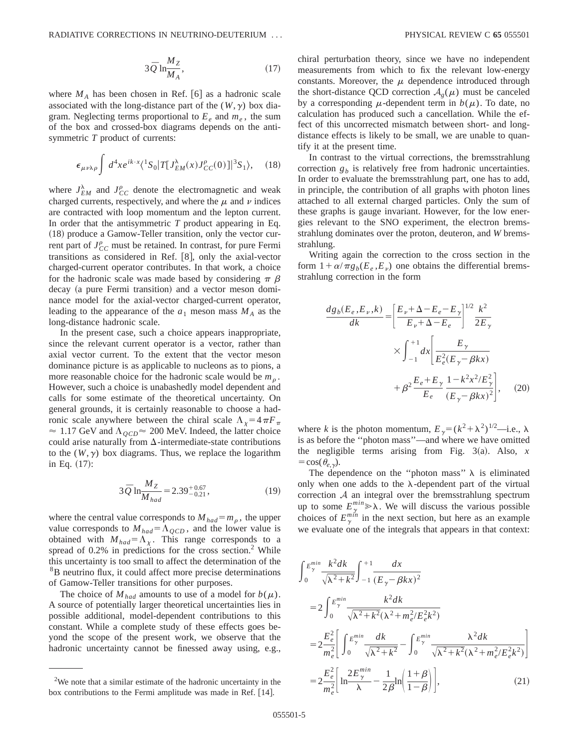$$
3\overline{Q} \ln \frac{M_Z}{M_A},\tag{17}
$$

where  $M_A$  has been chosen in Ref. [6] as a hadronic scale associated with the long-distance part of the  $(W, \gamma)$  box diagram. Neglecting terms proportional to  $E_e$  and  $m_e$ , the sum of the box and crossed-box diagrams depends on the antisymmetric *T* product of currents:

$$
\epsilon_{\mu\nu\lambda\rho} \int d^4x e^{ik \cdot x} \langle {}^1S_0 | T[J_{EM}^{\lambda}(x)J_{CC}^{\rho}(0)] | {}^3S_1 \rangle, \quad (18)
$$

where  $J_{EM}^{\lambda}$  and  $J_{CC}^{\rho}$  denote the electromagnetic and weak charged currents, respectively, and where the  $\mu$  and  $\nu$  indices are contracted with loop momentum and the lepton current. In order that the antisymmetric *T* product appearing in Eq.  $(18)$  produce a Gamow-Teller transition, only the vector current part of  $J_{CC}^{\rho}$  must be retained. In contrast, for pure Fermi transitions as considered in Ref.  $[8]$ , only the axial-vector charged-current operator contributes. In that work, a choice for the hadronic scale was made based by considering  $\pi \beta$ decay (a pure Fermi transition) and a vector meson dominance model for the axial-vector charged-current operator, leading to the appearance of the  $a_1$  meson mass  $M_A$  as the long-distance hadronic scale.

In the present case, such a choice appears inappropriate, since the relevant current operator is a vector, rather than axial vector current. To the extent that the vector meson dominance picture is as applicable to nucleons as to pions, a more reasonable choice for the hadronic scale would be  $m<sub>o</sub>$ . However, such a choice is unabashedly model dependent and calls for some estimate of the theoretical uncertainty. On general grounds, it is certainly reasonable to choose a hadronic scale anywhere between the chiral scale  $\Lambda_{\chi} = 4 \pi F_{\pi}$  $\approx 1.17$  GeV and  $\Lambda_{QCD} \approx 200$  MeV. Indeed, the latter choice could arise naturally from  $\Delta$ -intermediate-state contributions to the  $(W, \gamma)$  box diagrams. Thus, we replace the logarithm in Eq.  $(17)$ :

$$
3\overline{Q} \ln \frac{M_Z}{M_{had}} = 2.39^{+0.67}_{-0.21},\tag{19}
$$

where the central value corresponds to  $M_{had} = m_o$ , the upper value corresponds to  $M_{had} = \Lambda_{QCD}$ , and the lower value is obtained with  $M_{had} = \Lambda_{\chi}$ . This range corresponds to a spread of  $0.2\%$  in predictions for the cross section.<sup>2</sup> While this uncertainty is too small to affect the determination of the 8B neutrino flux, it could affect more precise determinations of Gamow-Teller transitions for other purposes.

The choice of  $M_{had}$  amounts to use of a model for  $b(\mu)$ . A source of potentially larger theoretical uncertainties lies in possible additional, model-dependent contributions to this constant. While a complete study of these effects goes beyond the scope of the present work, we observe that the hadronic uncertainty cannot be finessed away using, e.g., chiral perturbation theory, since we have no independent measurements from which to fix the relevant low-energy constants. Moreover, the  $\mu$  dependence introduced through the short-distance QCD correction  $A_a(\mu)$  must be canceled by a corresponding  $\mu$ -dependent term in  $b(\mu)$ . To date, no calculation has produced such a cancellation. While the effect of this uncorrected mismatch between short- and longdistance effects is likely to be small, we are unable to quantify it at the present time.

In contrast to the virtual corrections, the bremsstrahlung correction  $g<sub>b</sub>$  is relatively free from hadronic uncertainties. In order to evaluate the bremsstrahlung part, one has to add, in principle, the contribution of all graphs with photon lines attached to all external charged particles. Only the sum of these graphs is gauge invariant. However, for the low energies relevant to the SNO experiment, the electron bremsstrahlung dominates over the proton, deuteron, and *W* bremsstrahlung.

Writing again the correction to the cross section in the form  $1 + \alpha/\pi g_b(E_e, E_v)$  one obtains the differential bremsstrahlung correction in the form

$$
\frac{dg_b(E_e, E_\nu, k)}{dk} = \left[\frac{E_\nu + \Delta - E_e - E_\gamma}{E_\nu + \Delta - E_e}\right]^{1/2} \frac{k^2}{2E_\gamma}
$$

$$
\times \int_{-1}^{+1} dx \left[\frac{E_\gamma}{E_e^2(E_\gamma - \beta kx)} + \beta^2 \frac{E_e + E_\gamma}{E_e} \frac{1 - k^2 x^2 / E_\gamma^2}{(E_\gamma - \beta kx)^2}\right], \quad (20)
$$

where *k* is the photon momentum,  $E_{\gamma} = (k^2 + \lambda^2)^{1/2}$ —i.e.,  $\lambda$ is as before the ''photon mass''—and where we have omitted the negligible terms arising from Fig.  $3(a)$ . Also, *x*  $=$ cos( $\theta_{e,\gamma}$ ).

The dependence on the "photon mass"  $\lambda$  is eliminated only when one adds to the  $\lambda$ -dependent part of the virtual correction  $A$  an integral over the bremsstrahlung spectrum up to some  $E_{\gamma}^{min} \gg \lambda$ . We will discuss the various possible choices of  $E_{\gamma}^{min}$  in the next section, but here as an example we evaluate one of the integrals that appears in that context:

\n The current is too small to affect the determination of the 
$$
\int_{0}^{m} \frac{E_{\gamma}^{min}}{\sqrt{\lambda^2 + k^2}} \int_{-1}^{+1} \frac{dx}{(E_{\gamma} - \beta k x)^2}
$$
\n

\n\n The choice of  $M_{had}$  amounts to use of a model for  $b(\mu)$ .\n

\n\n source of potentially larger theoretical uncertainties lies in  $= 2 \int_{0}^{E_{\gamma}^{min}} \frac{k^2 dk}{\sqrt{\lambda^2 + k^2} (\lambda^2 + m_e^2/E_e^2 k^2)}$ \n

\n\n The choice of  $M_{had}$  amounts to use of a model for  $b(\mu)$ .\n

\n\n source of potentially larger theoretical uncertainties lies in  $= 2 \int_{0}^{E_{\gamma}^{min}} \frac{k^2 dk}{\sqrt{\lambda^2 + k^2} (\lambda^2 + m_e^2/E_e^2 k^2)}$ \n

\n\n in the  $k$  is a complete study of these effects goes.\n

\n\n The force of the present work, we observe that the  $= 2 \frac{E_e^2}{m_e^2} \left[ \int_{0}^{E_{\gamma}^{min}} \frac{dk}{\sqrt{\lambda^2 + k^2}} - \int_{0}^{E_{\gamma}^{min}} \frac{\lambda^2 dk}{\sqrt{\lambda^2 + k^2} (\lambda^2 + m_e^2/E_e^2 k^2)} \right]$ \n

\n\n The force of the present work, we observe that the  $= 2 \frac{E_e^2}{m_e^2} \left[ \frac{2E_{\gamma}^{min}}{\lambda} - \frac{1}{2\beta} \ln \left( \frac{1 + \beta}{1 - \beta} \right) \right],$ \n

\n\n The force of the present work, we observe that a similar estimate of the hadronic uncertainty in the  $= 2 \frac{E_e^2}{m_e^2} \left[ \frac{2E_{\gamma}^{min}}{\lambda} - \frac{1}{2\beta} \ln \left( \frac{1 + \beta}{1 - \beta} \right) \right],$ \n

\n\n (21)\n

box contributions to the Fermi amplitude was made in Ref.  $[14]$ .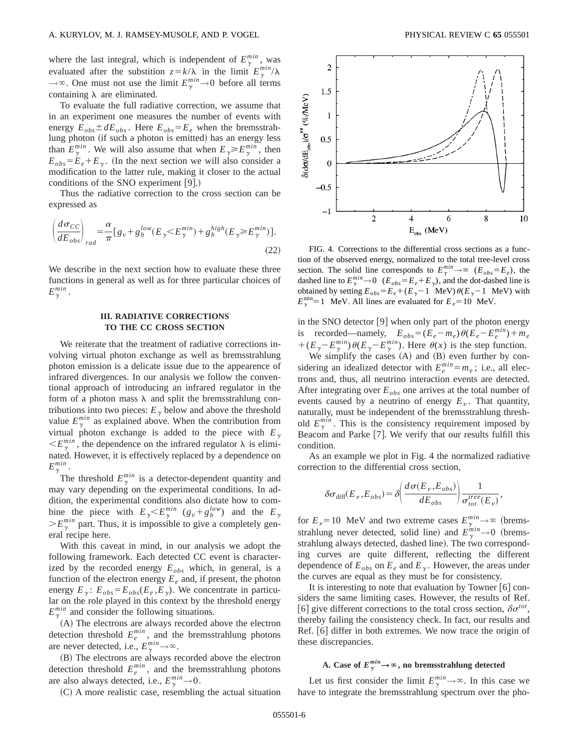where the last integral, which is independent of  $E_{\gamma}^{min}$ , was evaluated after the substition  $z = k/\lambda$  in the limit  $E_{\gamma}^{min}/\lambda$  $\rightarrow \infty$ . One must not use the limit  $E_{\gamma}^{min} \rightarrow 0$  before all terms containing  $\lambda$  are eliminated.

To evaluate the full radiative correction, we assume that in an experiment one measures the number of events with energy  $E_{obs} \pm dE_{obs}$ . Here  $E_{obs} = E_e$  when the bremsstrahlung photon (if such a photon is emitted) has an energy less than  $E_{\gamma}^{min}$ . We will also assume that when  $E_{\gamma} \ge E_{\gamma}^{min}$ , then  $E_{obs} = E_e + E_v$ . (In the next section we will also consider a modification to the latter rule, making it closer to the actual conditions of the SNO experiment  $[9]$ .)

Thus the radiative correction to the cross section can be expressed as

$$
\left(\frac{d\sigma_{CC}}{dE_{obs}}\right)_{rad} = \frac{\alpha}{\pi} \left[g_v + g_b^{low}(E_\gamma \ll E_\gamma^{min}) + g_b^{high}(E_\gamma \gg E_\gamma^{min})\right].\tag{22}
$$

We describe in the next section how to evaluate these three functions in general as well as for three particular choices of  $E_\gamma^{min}$  .

# **III. RADIATIVE CORRECTIONS TO THE CC CROSS SECTION**

We reiterate that the treatment of radiative corrections involving virtual photon exchange as well as bremsstrahlung photon emission is a delicate issue due to the appearence of infrared divergences. In our analysis we follow the conventional approach of introducing an infrared regulator in the form of a photon mass  $\lambda$  and split the bremsstrahlung contributions into two pieces:  $E_{\gamma}$  below and above the threshold value  $E_{\gamma}^{min}$  as explained above. When the contribution from virtual photon exchange is added to the piece with  $E_{\gamma}$  $\langle E_\gamma^{min}$ , the dependence on the infrared regulator  $\lambda$  is eliminated. However, it is effectively replaced by a dependence on  $E_\gamma^{min}$  .

The threshold  $E_{\gamma}^{min}$  is a detector-dependent quantity and may vary depending on the experimental conditions. In addition, the experimental conditions also dictate how to combine the piece with  $E_{\gamma} < E_{\gamma}^{min}$  ( $g_v + g_b^{low}$ ) and the  $E_{\gamma}$  $>E_{\gamma}^{min}$  part. Thus, it is impossible to give a completely general recipe here.

With this caveat in mind, in our analysis we adopt the following framework. Each detected CC event is characterized by the recorded energy  $E_{obs}$  which, in general, is a function of the electron energy  $E_e$  and, if present, the photon energy  $E_{\gamma}$ :  $E_{obs} = E_{obs}(E_e, E_{\gamma})$ . We concentrate in particular on the role played in this context by the threshold energy  $E_{\gamma}^{min}$  and consider the following situations.

(A) The electrons are always recorded above the electron detection threshold  $E_e^{min}$ , and the bremsstrahlung photons are never detected, i.e.,  $E_{\gamma}^{min} \rightarrow \infty$ .

(B) The electrons are always recorded above the electron detection threshold  $E_e^{min}$ , and the bremsstrahlung photons are also always detected, i.e.,  $E_{\gamma}^{min} \rightarrow 0$ .

 $(C)$  A more realistic case, resembling the actual situation



FIG. 4. Corrections to the differential cross sections as a function of the observed energy, normalized to the total tree-level cross section. The solid line corresponds to  $E_{\gamma}^{min} \rightarrow \infty$  ( $E_{obs} = E_e$ ), the dashed line to  $E_{\gamma}^{min} \to 0$  ( $E_{obs} = E_e + E_{\gamma}$ ), and the dot-dashed line is obtained by setting  $E_{obs} = E_e + (E_\gamma - 1 \text{ MeV}) \theta(E_\gamma - 1 \text{ MeV})$  with  $E_{\gamma}^{\text{min}}$ =1 MeV. All lines are evaluated for  $E_{\nu}$ =10 MeV.

in the SNO detector  $[9]$  when only part of the photon energy is recorded—namely,  $E_{obs} = (E_e - m_e) \theta (E_e - E_e^{min}) + m_e$  $+(E_{\gamma}-E_{\gamma}^{min})\theta(E_{\gamma}-E_{\gamma}^{min})$ . Here  $\theta(x)$  is the step function.

We simplify the cases  $(A)$  and  $(B)$  even further by considering an idealized detector with  $E_e^{min} = m_e$ ; i.e., all electrons and, thus, all neutrino interaction events are detected. After integrating over  $E_{obs}$  one arrives at the total number of events caused by a neutrino of energy  $E<sub>v</sub>$ . That quantity, naturally, must be independent of the bremsstrahlung threshold  $E_{\gamma}^{min}$ . This is the consistency requirement imposed by Beacom and Parke [7]. We verify that our results fulfill this condition.

As an example we plot in Fig. 4 the normalized radiative correction to the differential cross section,

$$
\delta \sigma_{\text{diff}}(E_{\nu}, E_{obs}) = \delta \left( \frac{d \sigma(E_{\nu}, E_{obs})}{d E_{obs}} \right) \frac{1}{\sigma_{tot}^{tree}(E_{\nu})},
$$

for  $E_{\nu}$  = 10 MeV and two extreme cases  $E_{\gamma}^{min} \rightarrow \infty$  (bremsstrahlung never detected, solid line) and  $E_{\gamma}^{min} \rightarrow 0$  (bremsstrahlung always detected, dashed line). The two corresponding curves are quite different, reflecting the different dependence of  $E_{obs}$  on  $E_e$  and  $E_\gamma$ . However, the areas under the curves are equal as they must be for consistency.

It is interesting to note that evaluation by Towner  $[6]$  considers the same limiting cases. However, the results of Ref. [6] give different corrections to the total cross section,  $\delta \sigma^{tot}$ , thereby failing the consistency check. In fact, our results and Ref.  $\vert 6 \vert$  differ in both extremes. We now trace the origin of these discrepancies.

# A. Case of  $E_{\gamma}^{min} \rightarrow \infty$ , no bremsstrahlung detected

Let us first consider the limit  $E_{\gamma}^{min} \to \infty$ . In this case we have to integrate the bremsstrahlung spectrum over the pho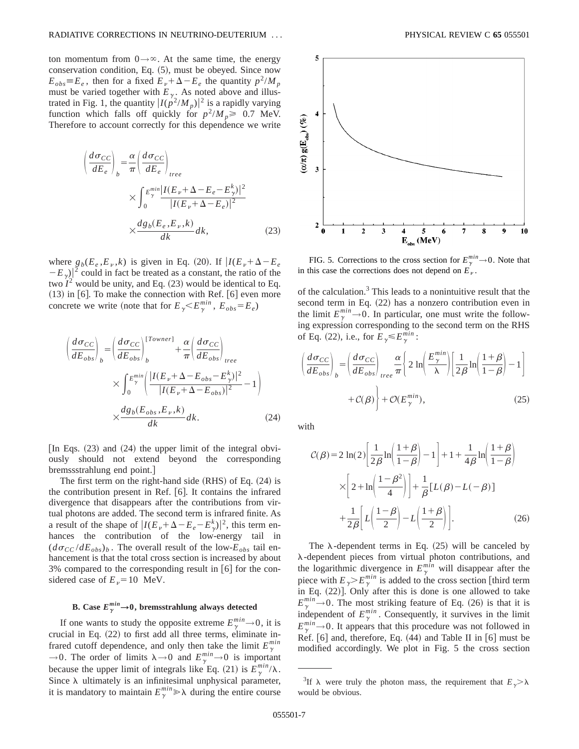ton momentum from  $0 \rightarrow \infty$ . At the same time, the energy conservation condition, Eq.  $(5)$ , must be obeyed. Since now  $E_{obs} \equiv E_e$ , then for a fixed  $E_v + \Delta - E_e$  the quantity  $p^2/M_p$ must be varied together with  $E_{\gamma}$ . As noted above and illustrated in Fig. 1, the quantity  $|I(p^2/M_p)|^2$  is a rapidly varying function which falls off quickly for  $p^2/M_p \ge 0.7$  MeV. Therefore to account correctly for this dependence we write

$$
\left(\frac{d\sigma_{CC}}{dE_e}\right)_b = \frac{\alpha}{\pi} \left(\frac{d\sigma_{CC}}{dE_e}\right)_{tree}
$$
\n
$$
\times \int_0^{E_{\gamma}^{min}} \frac{|I(E_{\nu} + \Delta - E_e - E_{\gamma}^k)|^2}{|I(E_{\nu} + \Delta - E_e)|^2}
$$
\n
$$
\times \frac{dg_b(E_e, E_{\nu}, k)}{dk} dk,
$$
\n(23)

where  $g_b(E_e, E_v, k)$  is given in Eq. (20). If  $I(E_v + \Delta - E_e)$  $-E_{\gamma}$ )<sup>2</sup> could in fact be treated as a constant, the ratio of the two  $I^2$  would be unity, and Eq.  $(23)$  would be identical to Eq.  $(13)$  in  $[6]$ . To make the connection with Ref.  $[6]$  even more concrete we write (note that for  $E_{\gamma} < E_{\gamma}^{min}$ ,  $E_{obs} = E_e$ )

$$
\left(\frac{d\sigma_{CC}}{dE_{obs}}\right)_{b} = \left(\frac{d\sigma_{CC}}{dE_{obs}}\right)_{b}^{[Towner]} + \frac{\alpha}{\pi} \left(\frac{d\sigma_{CC}}{dE_{obs}}\right)_{tree}
$$
\n
$$
\times \int_{0}^{E_{\gamma}^{min}} \left(\frac{|I(E_{\nu} + \Delta - E_{obs} - E_{\gamma}^{k})|^{2}}{|I(E_{\nu} + \Delta - E_{obs})|^{2}} - 1\right)
$$
\n
$$
\times \frac{dg_{b}(E_{obs}, E_{\nu}, k)}{dk} dk. \tag{24}
$$

In Eqs.  $(23)$  and  $(24)$  the upper limit of the integral obviously should not extend beyond the corresponding bremssstrahlung end point.#

The first term on the right-hand side  $(RHS)$  of Eq.  $(24)$  is the contribution present in Ref.  $[6]$ . It contains the infrared divergence that disappears after the contributions from virtual photons are added. The second term is infrared finite. As a result of the shape of  $|I(E_{\nu} + \Delta - E_e - E_{\gamma}^k)|^2$ , this term enhances the contribution of the low-energy tail in  $(d\sigma_{CC}/dE_{obs})_b$ . The overall result of the low- $E_{obs}$  tail enhancement is that the total cross section is increased by about 3% compared to the corresponding result in  $\lceil 6 \rceil$  for the considered case of  $E_{\nu}$ =10 MeV.

# **B.** Case  $E_{\gamma}^{min} \rightarrow 0$ , bremsstrahlung always detected

If one wants to study the opposite extreme  $E_{\gamma}^{min} \rightarrow 0$ , it is crucial in Eq.  $(22)$  to first add all three terms, eliminate infrared cutoff dependence, and only then take the limit  $E_{\gamma}^{min}$  $\rightarrow$ 0. The order of limits  $\lambda \rightarrow 0$  and  $E_{\gamma}^{min} \rightarrow 0$  is important because the upper limit of integrals like Eq. (21) is  $E_{\gamma}^{min}/\lambda$ . Since  $\lambda$  ultimately is an infinitesimal unphysical parameter, it is mandatory to maintain  $E_{\gamma}^{min} \gg \lambda$  during the entire course



FIG. 5. Corrections to the cross section for  $E_{\gamma}^{min} \rightarrow 0$ . Note that in this case the corrections does not depend on  $E_p$ .

of the calculation.3 This leads to a nonintuitive result that the second term in Eq. (22) has a nonzero contribution even in the limit  $E_{\gamma}^{min} \to 0$ . In particular, one must write the following expression corresponding to the second term on the RHS of Eq. (22), i.e., for  $E_\gamma \leq E_\gamma^{min}$ :

$$
\left(\frac{d\sigma_{CC}}{dE_{obs}}\right)_{b} = \left(\frac{d\sigma_{CC}}{dE_{obs}}\right)_{tree} \frac{\alpha}{\pi} \left\{ 2\ln\left(\frac{E_{\gamma}^{min}}{\lambda}\right) \left[\frac{1}{2\beta}\ln\left(\frac{1+\beta}{1-\beta}\right) - 1\right] + \mathcal{O}(B_{\gamma}^{min}),\tag{25}
$$

with

$$
\mathcal{C}(\beta) = 2 \ln(2) \left[ \frac{1}{2\beta} \ln \left( \frac{1+\beta}{1-\beta} \right) - 1 \right] + 1 + \frac{1}{4\beta} \ln \left( \frac{1+\beta}{1-\beta} \right)
$$

$$
\times \left[ 2 + \ln \left( \frac{1-\beta^2}{4} \right) \right] + \frac{1}{\beta} \left[ L(\beta) - L(-\beta) \right]
$$

$$
+ \frac{1}{2\beta} \left[ L \left( \frac{1-\beta}{2} \right) - L \left( \frac{1+\beta}{2} \right) \right].
$$
(26)

The  $\lambda$ -dependent terms in Eq. (25) will be canceled by  $\lambda$ -dependent pieces from virtual photon contributions, and the logarithmic divergence in  $E_{\gamma}^{min}$  will disappear after the piece with  $E_{\gamma} > E_{\gamma}^{min}$  is added to the cross section [third term in Eq.  $(22)$ ]. Only after this is done is one allowed to take  $E_{\gamma}^{min} \rightarrow 0$ . The most striking feature of Eq. (26) is that it is independent of  $E_{\gamma}^{min}$ . Consequently, it survives in the limit  $E_{\gamma}^{min} \rightarrow 0$ . It appears that this procedure was not followed in Ref.  $[6]$  and, therefore, Eq.  $(44)$  and Table II in  $[6]$  must be modified accordingly. We plot in Fig. 5 the cross section

<sup>&</sup>lt;sup>3</sup>If  $\lambda$  were truly the photon mass, the requirement that  $E_{\gamma} > \lambda$ would be obvious.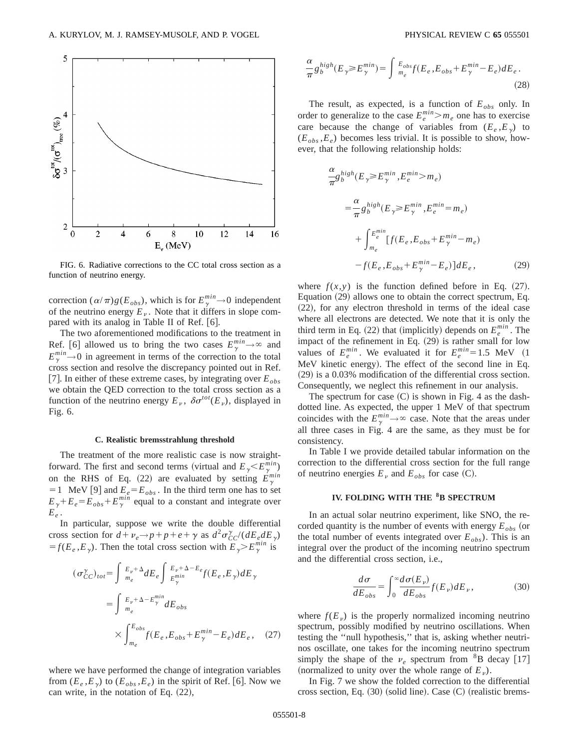

FIG. 6. Radiative corrections to the CC total cross section as a function of neutrino energy.

correction  $(\alpha/\pi)g(E_{obs})$ , which is for  $E_{\gamma}^{min} \to 0$  independent of the neutrino energy  $E<sub>v</sub>$ . Note that it differs in slope compared with its analog in Table II of Ref. [6].

The two aforementioned modifications to the treatment in Ref. [6] allowed us to bring the two cases  $E_{\gamma}^{min} \rightarrow \infty$  and  $E_{\gamma}^{min} \rightarrow 0$  in agreement in terms of the correction to the total cross section and resolve the discrepancy pointed out in Ref. [7]. In either of these extreme cases, by integrating over  $E_{obs}$ we obtain the QED correction to the total cross section as a function of the neutrino energy  $E_v$ ,  $\delta \sigma^{tot}(E_v)$ , displayed in Fig. 6.

#### **C. Realistic bremsstrahlung threshold**

The treatment of the more realistic case is now straightforward. The first and second terms (virtual and  $E_{\gamma} < E_{\gamma}^{min}$ ) on the RHS of Eq. (22) are evaluated by setting  $E_{\gamma}^{min}$  $=1$  MeV [9] and  $E_e = E_{obs}$ . In the third term one has to set  $E_{\gamma} + E_e = E_{obs} + E_{\gamma}^{min}$  equal to a constant and integrate over  $E_e$ .

In particular, suppose we write the double differential cross section for  $d + \nu_e \rightarrow p + p + e + \gamma$  as  $d^2 \sigma_{CC}^{\gamma}/(dE_e dE_{\gamma})$  $f(E_e, E_y)$ . Then the total cross section with  $E_y > E^{min}_y$  is

$$
(\sigma_{CC}^{\gamma})_{tot} = \int_{m_e}^{E_{\nu} + \Delta} dE_e \int_{E_{\gamma}^{\min}}^{E_{\nu} + \Delta - E_e} f(E_e, E_{\gamma}) dE_{\gamma}
$$

$$
= \int_{m_e}^{E_{\nu} + \Delta - E_{\gamma}^{\min}} dE_{obs}
$$

$$
\times \int_{m_e}^{E_{obs}} f(E_e, E_{obs} + E_{\gamma}^{\min} - E_e) dE_e, \quad (27)
$$

where we have performed the change of integration variables from  $(E_e, E_y)$  to  $(E_{obs}, E_e)$  in the spirit of Ref. [6]. Now we can write, in the notation of Eq.  $(22)$ ,

$$
\frac{\alpha}{\pi} g_b^{high}(E_\gamma \ge E_\gamma^{min}) = \int_{m_e}^{E_{obs}} f(E_e, E_{obs} + E_\gamma^{min} - E_e) dE_e.
$$
\n(28)

The result, as expected, is a function of  $E_{obs}$  only. In order to generalize to the case  $E_e^{min} > m_e$  one has to exercise care because the change of variables from  $(E_e, E_y)$  to  $(E<sub>obs</sub>, E<sub>e</sub>)$  becomes less trivial. It is possible to show, however, that the following relationship holds:

$$
\frac{\alpha}{\pi} g_b^{high}(E_\gamma \ge E_\gamma^{min}, E_e^{min} > m_e)
$$
\n
$$
= \frac{\alpha}{\pi} g_b^{high}(E_\gamma \ge E_\gamma^{min}, E_e^{min} = m_e)
$$
\n
$$
+ \int_{m_e}^{E_e^{min}} [f(E_e, E_{obs} + E_\gamma^{min} - m_e)]
$$
\n
$$
-f(E_e, E_{obs} + E_\gamma^{min} - E_e)]dE_e, \qquad (29)
$$

where  $f(x, y)$  is the function defined before in Eq.  $(27)$ . Equation  $(29)$  allows one to obtain the correct spectrum, Eq.  $(22)$ , for any electron threshold in terms of the ideal case where all electrons are detected. We note that it is only the third term in Eq. (22) that (implicitly) depends on  $E_e^{min}$ . The impact of the refinement in Eq.  $(29)$  is rather small for low values of  $E_e^{min}$ . We evaluated it for  $E_e^{min} = 1.5$  MeV  $(1$ MeV kinetic energy). The effect of the second line in Eq.  $(29)$  is a 0.03% modification of the differential cross section. Consequently, we neglect this refinement in our analysis.

The spectrum for case  $(C)$  is shown in Fig. 4 as the dashdotted line. As expected, the upper 1 MeV of that spectrum coincides with the  $E_{\gamma}^{min} \rightarrow \infty$  case. Note that the areas under all three cases in Fig. 4 are the same, as they must be for consistency.

In Table I we provide detailed tabular information on the correction to the differential cross section for the full range of neutrino energies  $E<sub>v</sub>$  and  $E<sub>obs</sub>$  for case (C).

## **IV. FOLDING WITH THE 8B SPECTRUM**

In an actual solar neutrino experiment, like SNO, the recorded quantity is the number of events with energy  $E_{obs}$  (or the total number of events integrated over  $E_{obs}$ ). This is an integral over the product of the incoming neutrino spectrum and the differential cross section, i.e.,

$$
\frac{d\sigma}{dE_{obs}} = \int_0^\infty \frac{d\sigma(E_\nu)}{dE_{obs}} f(E_\nu) dE_\nu, \tag{30}
$$

where  $f(E_n)$  is the properly normalized incoming neutrino spectrum, possibly modified by neutrino oscillations. When testing the ''null hypothesis,'' that is, asking whether neutrinos oscillate, one takes for the incoming neutrino spectrum simply the shape of the  $v_e$  spectrum from <sup>8</sup>B decay [17] (normalized to unity over the whole range of  $E<sub>v</sub>$ ).

In Fig. 7 we show the folded correction to the differential cross section, Eq.  $(30)$  (solid line). Case  $(C)$  (realistic brems-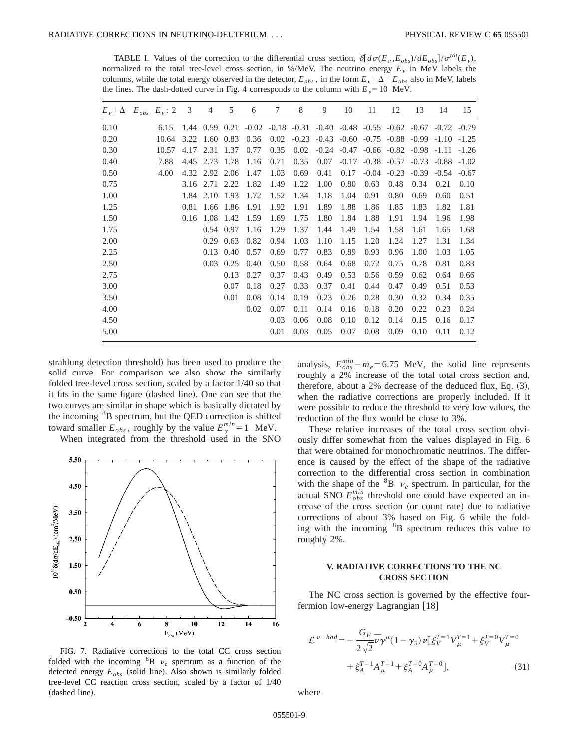TABLE I. Values of the correction to the differential cross section,  $\delta \frac{d\sigma(E_v, E_{obs})}{dE_{obs}}/\sigma^{tot}(E_v)$ , normalized to the total tree-level cross section, in %/MeV. The neutrino energy  $E<sub>\nu</sub>$  in MeV labels the columns, while the total energy observed in the detector,  $E_{obs}$ , in the form  $E_p + \Delta - E_{obs}$  also in MeV, labels the lines. The dash-dotted curve in Fig. 4 corresponds to the column with  $E<sub>v</sub>=10$  MeV.

| 0.10 | 6.15  |      |                |                              |      | 7    | 8       | 9                                                                               | 10             | 11      | 12             | 13                                                      | 14                      | 15      |
|------|-------|------|----------------|------------------------------|------|------|---------|---------------------------------------------------------------------------------|----------------|---------|----------------|---------------------------------------------------------|-------------------------|---------|
|      |       |      |                | $1.44 \quad 0.59 \quad 0.21$ |      |      |         | $-0.02$ $-0.18$ $-0.31$ $-0.40$ $-0.48$ $-0.55$ $-0.62$ $-0.67$ $-0.72$ $-0.79$ |                |         |                |                                                         |                         |         |
| 0.20 | 10.64 | 3.22 | 1.60           | 0.83                         | 0.36 | 0.02 | $-0.23$ |                                                                                 | $-0.43 - 0.60$ | $-0.75$ |                | $-0.88$ $-0.99$ $-1.10$                                 |                         | $-1.25$ |
| 0.30 | 10.57 | 4.17 | 2.31           | 1.37                         | 0.77 | 0.35 | 0.02    |                                                                                 |                |         |                | $-0.24$ $-0.47$ $-0.66$ $-0.82$ $-0.98$ $-1.11$ $-1.26$ |                         |         |
| 0.40 | 7.88  | 4.45 | 2.73           | 1.78                         | 1.16 | 0.71 | 0.35    | 0.07                                                                            | $-0.17$        |         | $-0.38 - 0.57$ |                                                         | $-0.73$ $-0.88$ $-1.02$ |         |
| 0.50 | 4.00  |      | 4.32 2.92 2.06 |                              | 1.47 | 1.03 | 0.69    | 0.41                                                                            | 0.17           | $-0.04$ | $-0.23$        | $-0.39$                                                 | $-0.54$                 | $-0.67$ |
| 0.75 |       | 3.16 | 2.71           | 2.22                         | 1.82 | 1.49 | 1.22    | 1.00                                                                            | 0.80           | 0.63    | 0.48           | 0.34                                                    | 0.21                    | 0.10    |
| 1.00 |       | 1.84 | 2.10           | 1.93                         | 1.72 | 1.52 | 1.34    | 1.18                                                                            | 1.04           | 0.91    | 0.80           | 0.69                                                    | 0.60                    | 0.51    |
| 1.25 |       | 0.81 | 1.66           | 1.86                         | 1.91 | 1.92 | 1.91    | 1.89                                                                            | 1.88           | 1.86    | 1.85           | 1.83                                                    | 1.82                    | 1.81    |
| 1.50 |       | 0.16 | 1.08           | 1.42                         | 1.59 | 1.69 | 1.75    | 1.80                                                                            | 1.84           | 1.88    | 1.91           | 1.94                                                    | 1.96                    | 1.98    |
| 1.75 |       |      | 0.54           | 0.97                         | 1.16 | 1.29 | 1.37    | 1.44                                                                            | 1.49           | 1.54    | 1.58           | 1.61                                                    | 1.65                    | 1.68    |
| 2.00 |       |      | 0.29           | 0.63                         | 0.82 | 0.94 | 1.03    | 1.10                                                                            | 1.15           | 1.20    | 1.24           | 1.27                                                    | 1.31                    | 1.34    |
| 2.25 |       |      | 0.13           | 0.40                         | 0.57 | 0.69 | 0.77    | 0.83                                                                            | 0.89           | 0.93    | 0.96           | 1.00                                                    | 1.03                    | 1.05    |
| 2.50 |       |      | 0.03           | 0.25                         | 0.40 | 0.50 | 0.58    | 0.64                                                                            | 0.68           | 0.72    | 0.75           | 0.78                                                    | 0.81                    | 0.83    |
| 2.75 |       |      |                | 0.13                         | 0.27 | 0.37 | 0.43    | 0.49                                                                            | 0.53           | 0.56    | 0.59           | 0.62                                                    | 0.64                    | 0.66    |
| 3.00 |       |      |                | 0.07                         | 0.18 | 0.27 | 0.33    | 0.37                                                                            | 0.41           | 0.44    | 0.47           | 0.49                                                    | 0.51                    | 0.53    |
| 3.50 |       |      |                | 0.01                         | 0.08 | 0.14 | 0.19    | 0.23                                                                            | 0.26           | 0.28    | 0.30           | 0.32                                                    | 0.34                    | 0.35    |
| 4.00 |       |      |                |                              | 0.02 | 0.07 | 0.11    | 0.14                                                                            | 0.16           | 0.18    | 0.20           | 0.22                                                    | 0.23                    | 0.24    |
| 4.50 |       |      |                |                              |      | 0.03 | 0.06    | 0.08                                                                            | 0.10           | 0.12    | 0.14           | 0.15                                                    | 0.16                    | 0.17    |
| 5.00 |       |      |                |                              |      | 0.01 | 0.03    | 0.05                                                                            | 0.07           | 0.08    | 0.09           | 0.10                                                    | 0.11                    | 0.12    |

strahlung detection threshold) has been used to produce the solid curve. For comparison we also show the similarly folded tree-level cross section, scaled by a factor 1/40 so that it fits in the same figure (dashed line). One can see that the two curves are similar in shape which is basically dictated by the incoming <sup>8</sup>B spectrum, but the QED correction is shifted toward smaller  $E_{obs}$ , roughly by the value  $E_{\gamma}^{min}=1$  MeV.

When integrated from the threshold used in the SNO



FIG. 7. Radiative corrections to the total CC cross section folded with the incoming  ${}^{8}B$   $\nu_e$  spectrum as a function of the detected energy  $E_{obs}$  (solid line). Also shown is similarly folded tree-level CC reaction cross section, scaled by a factor of 1/40 (dashed line).

analysis,  $E_{obs}^{min} - m_e = 6.75$  MeV, the solid line represents roughly a 2% increase of the total total cross section and, therefore, about a  $2\%$  decrease of the deduced flux, Eq.  $(3)$ , when the radiative corrections are properly included. If it were possible to reduce the threshold to very low values, the reduction of the flux would be close to 3%.

These relative increases of the total cross section obviously differ somewhat from the values displayed in Fig. 6 that were obtained for monochromatic neutrinos. The difference is caused by the effect of the shape of the radiative correction to the differential cross section in combination with the shape of the  ${}^{8}B$   $\nu_e$  spectrum. In particular, for the actual SNO  $E_{obs}^{min}$  threshold one could have expected an increase of the cross section (or count rate) due to radiative corrections of about 3% based on Fig. 6 while the folding with the incoming  ${}^{8}B$  spectrum reduces this value to roughly 2%.

# **V. RADIATIVE CORRECTIONS TO THE NC CROSS SECTION**

The NC cross section is governed by the effective fourfermion low-energy Lagrangian  $[18]$ 

$$
\mathcal{L}^{\nu-had} = -\frac{G_F}{2\sqrt{2}} \bar{\nu} \gamma^{\mu} (1-\gamma_5) \nu \left[ \xi_V^{\tau=1} V_{\mu}^{\tau=1} + \xi_V^{\tau=0} V_{\mu}^{\tau=0} + \xi_A^{\tau=1} A_{\mu}^{\tau=1} + \xi_A^{\tau=0} A_{\mu}^{\tau=0} \right],
$$
\n(31)

where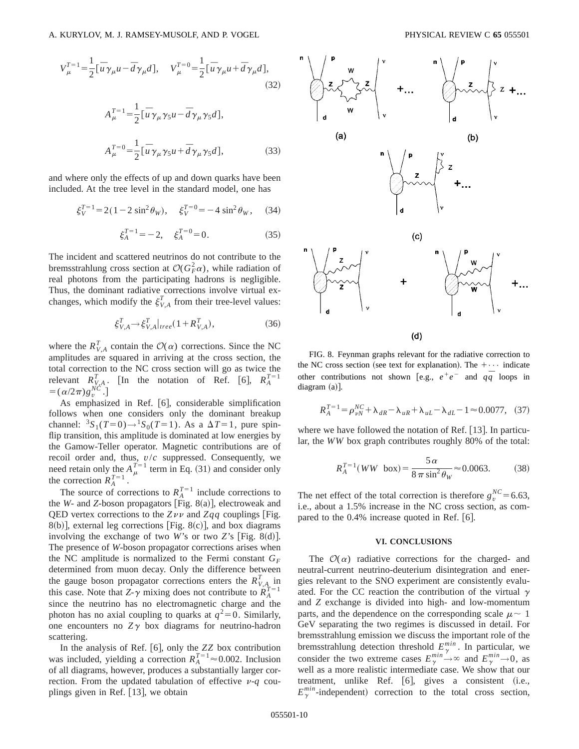$$
V_{\mu}^{T=1} = \frac{1}{2} [\bar{u}\gamma_{\mu}u - \bar{d}\gamma_{\mu}d], \quad V_{\mu}^{T=0} = \frac{1}{2} [\bar{u}\gamma_{\mu}u + \bar{d}\gamma_{\mu}d],
$$
\n(32)\n
$$
A_{\mu}^{T=1} = \frac{1}{2} [\bar{u}\gamma_{\mu}\gamma_{5}u - \bar{d}\gamma_{\mu}\gamma_{5}d],
$$
\n
$$
A_{\mu}^{T=0} = \frac{1}{2} [\bar{u}\gamma_{\mu}\gamma_{5}u + \bar{d}\gamma_{\mu}\gamma_{5}d],
$$
\n(33)

and where only the effects of up and down quarks have been included. At the tree level in the standard model, one has

$$
\xi_V^{T=1} = 2(1 - 2\sin^2\theta_W), \quad \xi_V^{T=0} = -4\sin^2\theta_W, \quad (34)
$$

$$
\xi_A^{T=1} = -2, \quad \xi_A^{T=0} = 0. \tag{35}
$$

The incident and scattered neutrinos do not contribute to the bremsstrahlung cross section at  $\mathcal{O}(G_F^2 \alpha)$ , while radiation of real photons from the participating hadrons is negligible. Thus, the dominant radiative corrections involve virtual exchanges, which modify the  $\xi_{V,A}^T$  from their tree-level values:

$$
\xi_{V,A}^T \rightarrow \xi_{V,A}^T|_{tree} (1 + R_{V,A}^T),\tag{36}
$$

where the  $R_{V,A}^T$  contain the  $\mathcal{O}(\alpha)$  corrections. Since the NC amplitudes are squared in arriving at the cross section, the total correction to the NC cross section will go as twice the relevant  $R_{V,A}^T$ . [In the notation of Ref. [6],  $R_A^{T=1}$  $=(\alpha/2\pi)g_v^{NC}$ .

As emphasized in Ref.  $[6]$ , considerable simplification follows when one considers only the dominant breakup channel:  ${}^{3}S_{1}(T=0) \rightarrow {}^{1}S_{0}(T=1)$ . As a  $\Delta T=1$ , pure spinflip transition, this amplitude is dominated at low energies by the Gamow-Teller operator. Magnetic contributions are of recoil order and, thus, *v*/*c* suppressed. Consequently, we need retain only the  $A_{\mu}^{T=1}$  term in Eq. (31) and consider only the correction  $R_A^{T=1}$ .

The source of corrections to  $R_A^{T=1}$  include corrections to the  $W$ - and  $Z$ -boson propagators [Fig. 8(a)], electroweak and QED vertex corrections to the  $Z\nu\nu$  and  $Zqq$  couplings [Fig.  $8(b)$ ], external leg corrections [Fig.  $8(c)$ ], and box diagrams involving the exchange of two *W*'s or two *Z*'s [Fig. 8 $(d)$ ]. The presence of *W*-boson propagator corrections arises when the NC amplitude is normalized to the Fermi constant  $G_F$ determined from muon decay. Only the difference between the gauge boson propagator corrections enters the  $R_{V,A}^T$  in this case. Note that *Z*- $\gamma$  mixing does not contribute to  $R_A^{T=1}$ since the neutrino has no electromagnetic charge and the photon has no axial coupling to quarks at  $q^2=0$ . Similarly, one encounters no  $Z\gamma$  box diagrams for neutrino-hadron scattering.

In the analysis of Ref.  $[6]$ , only the  $ZZ$  box contribution was included, yielding a correction  $R_A^{T=1} \approx 0.002$ . Inclusion of all diagrams, however, produces a substantially larger correction. From the updated tabulation of effective  $\nu$ -*q* couplings given in Ref.  $[13]$ , we obtain



FIG. 8. Feynman graphs relevant for the radiative correction to the NC cross section (see text for explanation). The  $+\cdots$  indicate other contributions not shown [e.g.,  $e^+e^-$  and  $q\bar{q}$  loops in  $diagram (a)$ ].

$$
R_A^{T=1} = \rho_{\nu N}^{NC} + \lambda_{dR} - \lambda_{uR} + \lambda_{uL} - \lambda_{dL} - 1 \approx 0.0077, (37)
$$

where we have followed the notation of Ref.  $[13]$ . In particular, the *WW* box graph contributes roughly 80% of the total:

$$
R_A^{T=1}(WW \text{ box}) = \frac{5\,\alpha}{8\,\pi\,\sin^2\theta_W} \approx 0.0063. \tag{38}
$$

The net effect of the total correction is therefore  $g_v^{NC} = 6.63$ , i.e., about a 1.5% increase in the NC cross section, as compared to the  $0.4\%$  increase quoted in Ref. [6].

## **VI. CONCLUSIONS**

The  $\mathcal{O}(\alpha)$  radiative corrections for the charged- and neutral-current neutrino-deuterium disintegration and energies relevant to the SNO experiment are consistently evaluated. For the CC reaction the contribution of the virtual  $\gamma$ and *Z* exchange is divided into high- and low-momentum parts, and the dependence on the corresponding scale  $\mu \sim 1$ GeV separating the two regimes is discussed in detail. For bremsstrahlung emission we discuss the important role of the bremsstrahlung detection threshold  $E_{\gamma}^{min}$ . In particular, we consider the two extreme cases  $E_{\gamma}^{min} \rightarrow \infty$  and  $E_{\gamma}^{min} \rightarrow 0$ , as well as a more realistic intermediate case. We show that our treatment, unlike Ref.  $[6]$ , gives a consistent (i.e.,  $E_{\gamma}^{min}$ -independent) correction to the total cross section,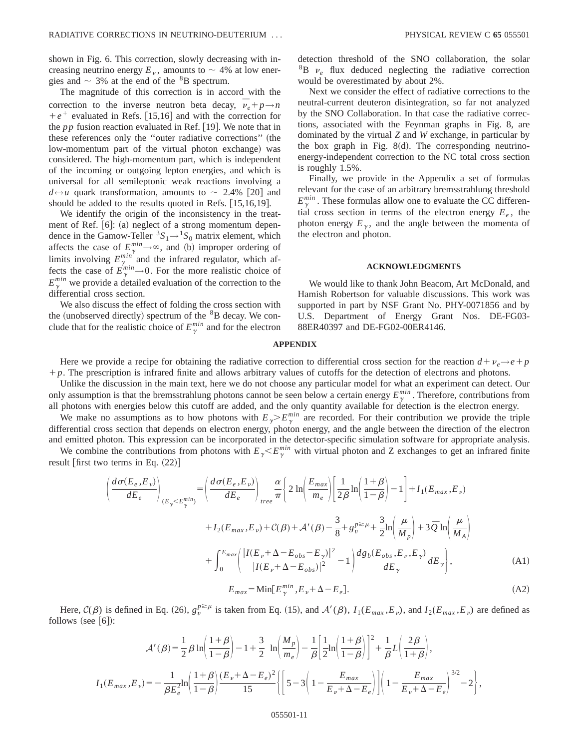shown in Fig. 6. This correction, slowly decreasing with increasing neutrino energy  $E_{\nu}$ , amounts to  $\sim$  4% at low energies and  $\sim$  3% at the end of the  ${}^{8}B$  spectrum.

The magnitude of this correction is in accord with the correction to the inverse neutron beta decay,  $\vec{v}_e + p \rightarrow n$  $+e^+$  evaluated in Refs. [15,16] and with the correction for the  $pp$  fusion reaction evaluated in Ref.  $[19]$ . We note that in these references only the "outer radiative corrections" (the low-momentum part of the virtual photon exchange) was considered. The high-momentum part, which is independent of the incoming or outgoing lepton energies, and which is universal for all semileptonic weak reactions involving a  $d \leftrightarrow u$  quark transformation, amounts to  $\sim$  2.4% [20] and should be added to the results quoted in Refs.  $[15,16,19]$ .

We identify the origin of the inconsistency in the treatment of Ref.  $[6]$ : (a) neglect of a strong momentum dependence in the Gamow-Teller  ${}^{3}S_{1} \rightarrow {}^{1}S_{0}$  matrix element, which affects the case of  $E_{\substack{n,m\\ \ldots,n}}^{min}\to\infty$ , and (b) improper ordering of limits involving  $E_{\gamma}^{min'}$  and the infrared regulator, which affects the case of  $E_{\gamma}^{min} \rightarrow 0$ . For the more realistic choice of  $E_{\gamma}^{min}$  we provide a detailed evaluation of the correction to the differential cross section.

We also discuss the effect of folding the cross section with the (unobserved directly) spectrum of the  $8B$  decay. We conclude that for the realistic choice of  $E_{\gamma}^{min}$  and for the electron detection threshold of the SNO collaboration, the solar  ${}^{8}B$   $v_e$  flux deduced neglecting the radiative correction would be overestimated by about 2%.

Next we consider the effect of radiative corrections to the neutral-current deuteron disintegration, so far not analyzed by the SNO Collaboration. In that case the radiative corrections, associated with the Feynman graphs in Fig. 8, are dominated by the virtual *Z* and *W* exchange, in particular by the box graph in Fig.  $8(d)$ . The corresponding neutrinoenergy-independent correction to the NC total cross section is roughly 1.5%.

Finally, we provide in the Appendix a set of formulas relevant for the case of an arbitrary bremsstrahlung threshold  $E_{\gamma}^{min}$ . These formulas allow one to evaluate the CC differential cross section in terms of the electron energy  $E_e$ , the photon energy  $E_{\gamma}$ , and the angle between the momenta of the electron and photon.

## **ACKNOWLEDGMENTS**

We would like to thank John Beacom, Art McDonald, and Hamish Robertson for valuable discussions. This work was supported in part by NSF Grant No. PHY-0071856 and by U.S. Department of Energy Grant Nos. DE-FG03- 88ER40397 and DE-FG02-00ER4146.

### **APPENDIX**

Here we provide a recipe for obtaining the radiative correction to differential cross section for the reaction  $d+\nu_e\rightarrow e+p$ 1*p*. The prescription is infrared finite and allows arbitrary values of cutoffs for the detection of electrons and photons.

Unlike the discussion in the main text, here we do not choose any particular model for what an experiment can detect. Our only assumption is that the bremsstrahlung photons cannot be seen below a certain energy  $E_{\gamma}^{min}$ . Therefore, contributions from all photons with energies below this cutoff are added, and the only quantity available for detection is the electron energy.

We make no assumptions as to how photons with  $E_{\gamma} > E_{\gamma}^{min}$  are recorded. For their contribution we provide the triple differential cross section that depends on electron energy, photon energy, and the angle between the direction of the electron and emitted photon. This expression can be incorporated in the detector-specific simulation software for appropriate analysis.

We combine the contributions from photons with  $E_{\gamma} < E_{\gamma}^{min}$  with virtual photon and Z exchanges to get an infrared finite result [first two terms in Eq.  $(22)$ ]

$$
\left(\frac{d\sigma(E_e, E_\nu)}{dE_e}\right)_{(E_\gamma < E_\gamma^{min})} = \left(\frac{d\sigma(E_e, E_\nu)}{dE_e}\right)_{tree} \frac{\alpha}{\pi} \left\{ 2\ln\left(\frac{E_{max}}{m_e}\right) \left[ \frac{1}{2\beta}\ln\left(\frac{1+\beta}{1-\beta}\right) - 1 \right] + I_1(E_{max}, E_\nu) + I_2(E_{max}, E_\nu) + C(\beta) + \mathcal{A}'(\beta) - \frac{3}{8} + g_\nu^{p \ge \mu} + \frac{3}{2}\ln\left(\frac{\mu}{M_p}\right) + 3\bar{Q}\ln\left(\frac{\mu}{M_A}\right) + \int_0^{E_{max}} \left(\frac{|I(E_\nu + \Delta - E_{obs} - E_\gamma)|^2}{|I(E_\nu + \Delta - E_{obs})|^2} - 1\right) \frac{d g_b(E_{obs}, E_\nu, E_\gamma)}{dE_\gamma} dE_\gamma \right\},\tag{A1}
$$

$$
E_{max} = \text{Min}[E_{\gamma}^{min}, E_{\nu} + \Delta - E_e]. \tag{A2}
$$

Here,  $C(\beta)$  is defined in Eq. (26),  $g_v^{p \ge \mu}$  is taken from Eq. (15), and  $A'(\beta)$ ,  $I_1(E_{max}, E_v)$ , and  $I_2(E_{max}, E_v)$  are defined as follows (see  $(6!)$ :

$$
\mathcal{A}'(\beta) = \frac{1}{2}\beta \ln\left(\frac{1+\beta}{1-\beta}\right) - 1 + \frac{3}{2} \ln\left(\frac{M_p}{m_e}\right) - \frac{1}{\beta} \left[\frac{1}{2}\ln\left(\frac{1+\beta}{1-\beta}\right)\right]^2 + \frac{1}{\beta}L\left(\frac{2\beta}{1+\beta}\right),
$$
  

$$
I_1(E_{max}, E_{\nu}) = -\frac{1}{\beta E_e^2} \ln\left(\frac{1+\beta}{1-\beta}\right) \frac{(E_{\nu} + \Delta - E_e)^2}{15} \left\{ \left[5 - 3\left(1 - \frac{E_{max}}{E_{\nu} + \Delta - E_e}\right)\right] \left(1 - \frac{E_{max}}{E_{\nu} + \Delta - E_e}\right)^{3/2} - 2 \right\},
$$